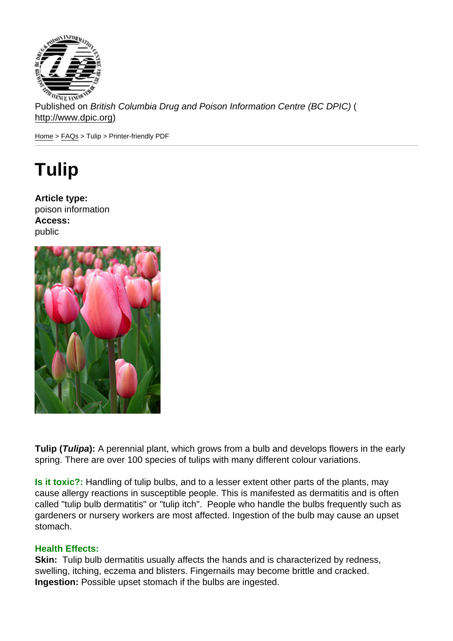Published on British Columbia Drug and Poison Information Centre (BC DPIC) ( http://www.dpic.org)

Home > FAQs > Tulip > Printer-friendly PDF

## [Tu](http://www.dpic.org/)l[ip](http://www.dpic.org/faq)

Article type: poison information Access: public

Tulip ( Tulipa ): A perennial plant, which grows from a bulb and develops flowers in the early spring. There are over 100 species of tulips with many different colour variations.

Is it toxic?: Handling of tulip bulbs, and to a lesser extent other parts of the plants, may cause allergy reactions in susceptible people. This is manifested as dermatitis and is often called "tulip bulb dermatitis" or "tulip itch". People who handle the bulbs frequently such as gardeners or nursery workers are most affected. Ingestion of the bulb may cause an upset stomach.

## Health Effects:

Skin: Tulip bulb dermatitis usually affects the hands and is characterized by redness, swelling, itching, eczema and blisters. Fingernails may become brittle and cracked. Ingestion: Possible upset stomach if the bulbs are ingested.